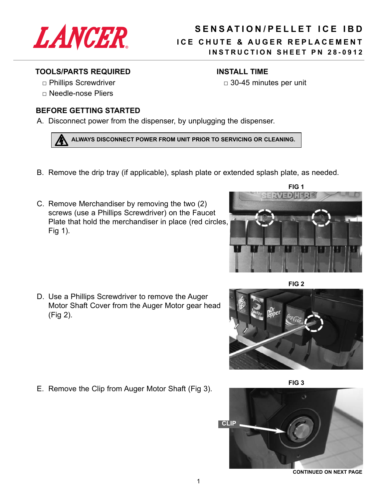

## **SENSATION/PELLET ICE IBD** ICE CHUTE & AUGER REPLACEMENT **INSTRUCTION SHEET PN 28-0912**

 $\Box$  30-45 minutes per unit

**INSTALL TIME** 

## **TOOLS/PARTS REQUIRED**

- □ Phillips Screwdriver
- $\Box$  Needle-nose Pliers

## **BEFORE GETTING STARTED**

A. Disconnect power from the dispenser, by unplugging the dispenser.

ALWAYS DISCONNECT POWER FROM UNIT PRIOR TO SERVICING OR CLEANING.

- B. Remove the drip tray (if applicable), splash plate or extended splash plate, as needed.
- C. Remove Merchandiser by removing the two (2) screws (use a Phillips Screwdriver) on the Faucet Plate that hold the merchandiser in place (red circles, Fig  $1$ ).

D. Use a Phillips Screwdriver to remove the Auger Motor Shaft Cover from the Auger Motor gear head (Fig 2).

E. Remove the Clip from Auger Motor Shaft (Fig 3).



**CONTINUED ON NEXT PAGE** 

FIG<sub>1</sub> 301.333





FIG<sub>3</sub>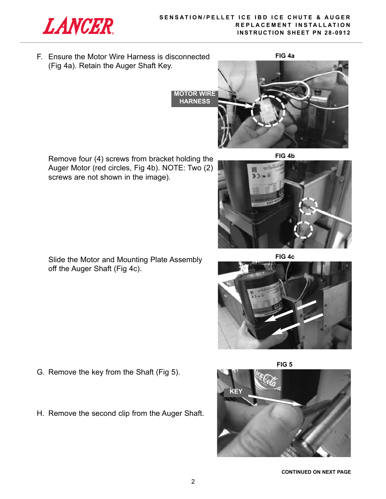

F. Ensure the Motor Wire Harness is disconnected (Fig 4a). Retain the Auger Shaft Key.

**FIG 4a**



Remove four (4) screws from bracket holding the Auger Motor (red circles, Fig 4b). NOTE: Two (2) screws are not shown in the image).

**FIG 4b**



**FIG 4c**





Slide the Motor and Mounting Plate Assembly off the Auger Shaft (Fig 4c).

- G. Remove the key from the Shaft (Fig 5).
- H. Remove the second clip from the Auger Shaft.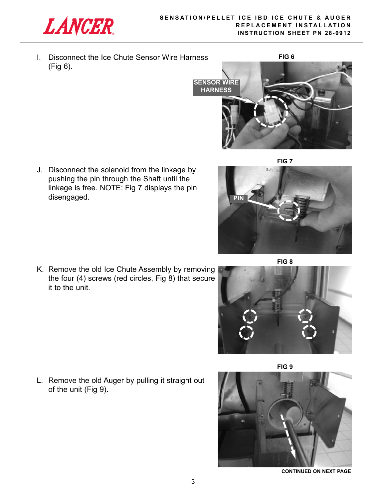

it to the unit.

**PIn**

I. Disconnect the Ice Chute Sensor Wire Harness (Fig 6).



**FIG 7**

J. Disconnect the solenoid from the linkage by pushing the pin through the Shaft until the linkage is free. NOTE: Fig 7 displays the pin disengaged.

**FIG 8**



L. Remove the old Auger by pulling it straight out of the unit (Fig 9).



**ContInUeD on neXt PAGe**